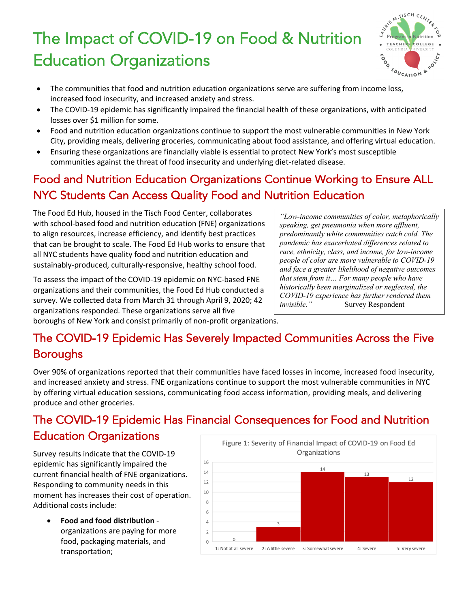## The Impact of COVID-19 on Food & Nutrition Education Organizations



- The communities that food and nutrition education organizations serve are suffering from income loss, increased food insecurity, and increased anxiety and stress.
- The COVID-19 epidemic has significantly impaired the financial health of these organizations, with anticipated losses over \$1 million for some.
- Food and nutrition education organizations continue to support the most vulnerable communities in New York City, providing meals, delivering groceries, communicating about food assistance, and offering virtual education.
- Ensuring these organizations are financially viable is essential to protect New York's most susceptible communities against the threat of food insecurity and underlying diet-related disease.

## Food and Nutrition Education Organizations Continue Working to Ensure ALL NYC Students Can Access Quality Food and Nutrition Education

The Food Ed Hub, housed in the Tisch Food Center, collaborates with school-based food and nutrition education (FNE) organizations to align resources, increase efficiency, and identify best practices that can be brought to scale. The Food Ed Hub works to ensure that all NYC students have quality food and nutrition education and sustainably-produced, culturally-responsive, healthy school food.

To assess the impact of the COVID-19 epidemic on NYC-based FNE organizations and their communities, the Food Ed Hub conducted a survey. We collected data from March 31 through April 9, 2020; 42 organizations responded. These organizations serve all five boroughs of New York and consist primarily of non-profit organizations.

*"Low-income communities of color, metaphorically speaking, get pneumonia when more affluent, predominantly white communities catch cold. The pandemic has exacerbated differences related to race, ethnicity, class, and income, for low-income people of color are more vulnerable to COVID-19 and face a greater likelihood of negative outcomes that stem from it… For many people who have historically been marginalized or neglected, the COVID-19 experience has further rendered them invisible."* — Survey Respondent

## The COVID-19 Epidemic Has Severely Impacted Communities Across the Five Boroughs

 $\overline{a}$ 

Over 90% of organizations reported that their communities have faced losses in income, increased food insecurity, and increased anxiety and stress. FNE organizations continue to support the most vulnerable communities in NYC by offering virtual education sessions, communicating food access information, providing meals, and delivering produce and other groceries.

## The COVID-19 Epidemic Has Financial Consequences for Food and Nutrition Education Organizations

Survey results indicate that the COVID-19 epidemic has significantly impaired the current financial health of FNE organizations. Responding to community needs in this moment has increases their cost of operation. Additional costs include:

• **Food and food distribution** organizations are paying for more food, packaging materials, and transportation;